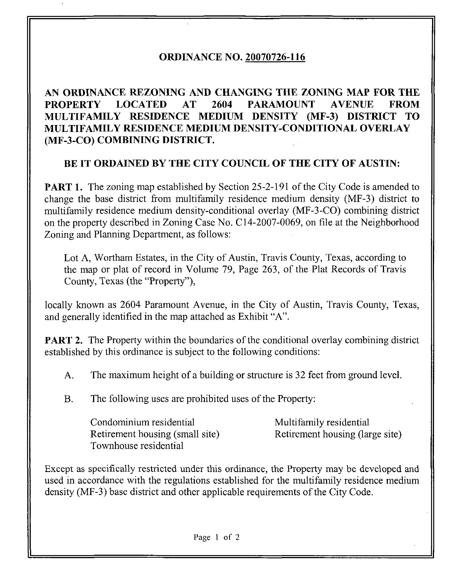## ORDINANCE NO. 20070726-116

AN ORDINANCE REZONING AND CHANGING THE ZONING MAP FOR THE PROPERTY LOCATED AT 2604 PARAMOUNT AVENUE FROM MULTIFAMILY RESIDENCE MEDIUM DENSITY (MF-3) DISTRICT TO MULTIFAMILY RESIDENCE MEDIUM DENSITY-CONDITIONAL OVERLAY (MF-3-CO) COMBINING DISTRICT.

## BE IT ORDAINED BY THE CITY COUNCIL OF THE CITY OF AUSTIN:

**PART 1.** The zoning map established by Section 25-2-191 of the City Code is amended to change the base district from multifamily residence medium density (MF-3) district to multifamily residence medium density-conditional overlay (MF-3-CO) combining district on the property described in Zoning Case No. C14-2007-0069, on file at the Neighborhood Zoning and Planning Department, as follows:

Lot A, Wortham Estates, in the City of Austin, Travis County, Texas, according to the map or plat of record in Volume 79, Page 263, of the Plat Records of Travis County, Texas (the "Property"),

locally known as 2604 Paramount Avenue, in the City of Austin, Travis County, Texas, and generally identified in the map attached as Exhibit "A".

**PART 2.** The Property within the boundaries of the conditional overlay combining district established by this ordinance is subject to the following conditions:

A. The maximum height of a building or structure is 32 feet from ground level.

B. The following uses are prohibited uses of the Property:

Condominium residential Multifamily residential Retirement housing (small site) Retirement housing (large site) Townhouse residential

Except as specifically restricted under this ordinance, the Property may be developed and used in accordance with the regulations established for the multifamily residence medium density (MF-3) base district and other applicable requirements of the City Code.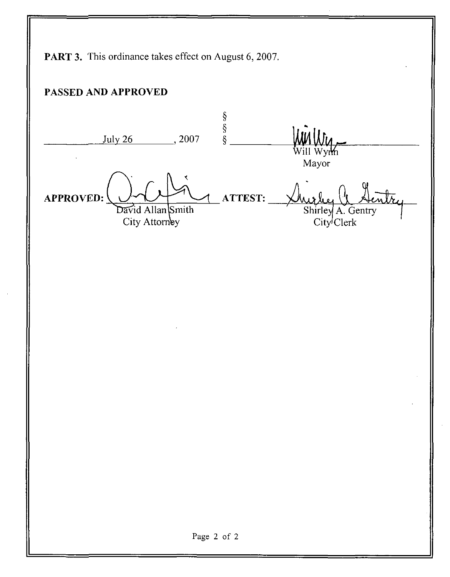PART 3. This ordinance takes effect on August 6, 2007. PASSED AND APPROVED  $\begin{array}{c}\n\delta \\
\delta \\
\delta\n\end{array}$ July 26 2007 Wym Mayor APPROVED: ATTEST: David Allan Smith Shirley A. Gentry City Attorney City<sup>J</sup>Clerk Page 2 of 2